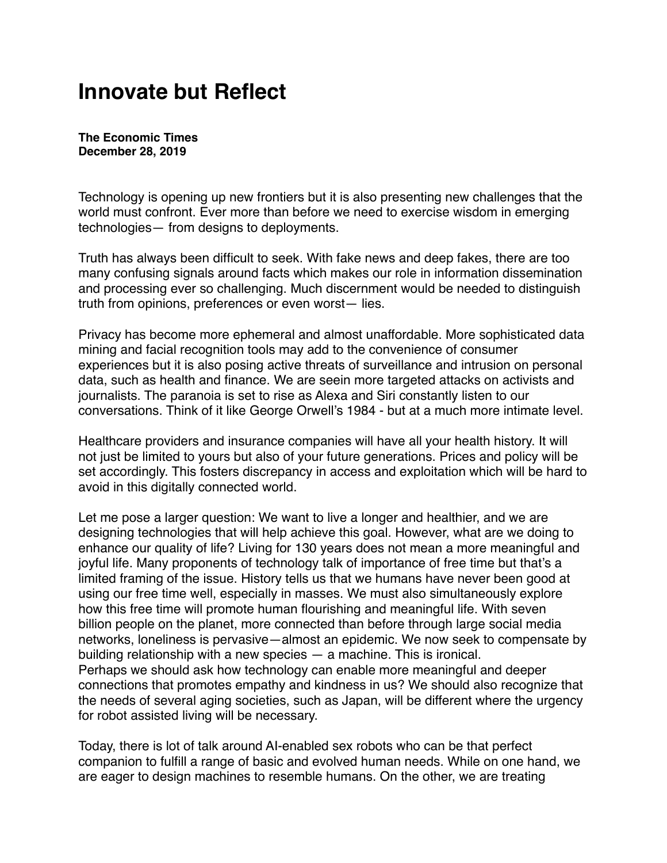## **Innovate but Reflect**

**The Economic Times December 28, 2019**

Technology is opening up new frontiers but it is also presenting new challenges that the world must confront. Ever more than before we need to exercise wisdom in emerging technologies— from designs to deployments.

Truth has always been difficult to seek. With fake news and deep fakes, there are too many confusing signals around facts which makes our role in information dissemination and processing ever so challenging. Much discernment would be needed to distinguish truth from opinions, preferences or even worst— lies.

Privacy has become more ephemeral and almost unaffordable. More sophisticated data mining and facial recognition tools may add to the convenience of consumer experiences but it is also posing active threats of surveillance and intrusion on personal data, such as health and finance. We are seein more targeted attacks on activists and journalists. The paranoia is set to rise as Alexa and Siri constantly listen to our conversations. Think of it like George Orwell's 1984 - but at a much more intimate level.

Healthcare providers and insurance companies will have all your health history. It will not just be limited to yours but also of your future generations. Prices and policy will be set accordingly. This fosters discrepancy in access and exploitation which will be hard to avoid in this digitally connected world.

Let me pose a larger question: We want to live a longer and healthier, and we are designing technologies that will help achieve this goal. However, what are we doing to enhance our quality of life? Living for 130 years does not mean a more meaningful and joyful life. Many proponents of technology talk of importance of free time but that's a limited framing of the issue. History tells us that we humans have never been good at using our free time well, especially in masses. We must also simultaneously explore how this free time will promote human flourishing and meaningful life. With seven billion people on the planet, more connected than before through large social media networks, loneliness is pervasive—almost an epidemic. We now seek to compensate by building relationship with a new species — a machine. This is ironical. Perhaps we should ask how technology can enable more meaningful and deeper connections that promotes empathy and kindness in us? We should also recognize that the needs of several aging societies, such as Japan, will be different where the urgency for robot assisted living will be necessary.

Today, there is lot of talk around AI-enabled sex robots who can be that perfect companion to fulfill a range of basic and evolved human needs. While on one hand, we are eager to design machines to resemble humans. On the other, we are treating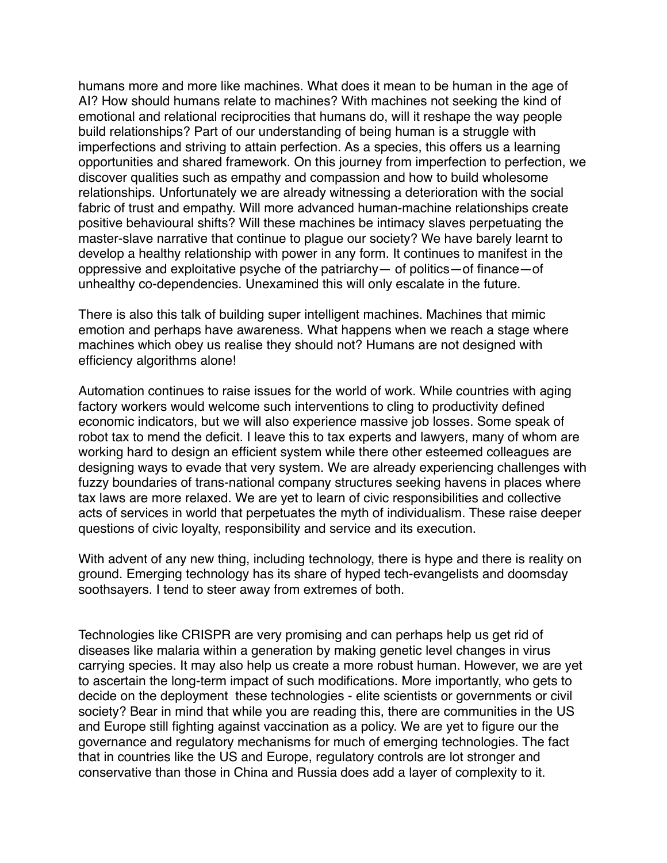humans more and more like machines. What does it mean to be human in the age of AI? How should humans relate to machines? With machines not seeking the kind of emotional and relational reciprocities that humans do, will it reshape the way people build relationships? Part of our understanding of being human is a struggle with imperfections and striving to attain perfection. As a species, this offers us a learning opportunities and shared framework. On this journey from imperfection to perfection, we discover qualities such as empathy and compassion and how to build wholesome relationships. Unfortunately we are already witnessing a deterioration with the social fabric of trust and empathy. Will more advanced human-machine relationships create positive behavioural shifts? Will these machines be intimacy slaves perpetuating the master-slave narrative that continue to plague our society? We have barely learnt to develop a healthy relationship with power in any form. It continues to manifest in the oppressive and exploitative psyche of the patriarchy— of politics—of finance—of unhealthy co-dependencies. Unexamined this will only escalate in the future.

There is also this talk of building super intelligent machines. Machines that mimic emotion and perhaps have awareness. What happens when we reach a stage where machines which obey us realise they should not? Humans are not designed with efficiency algorithms alone!

Automation continues to raise issues for the world of work. While countries with aging factory workers would welcome such interventions to cling to productivity defined economic indicators, but we will also experience massive job losses. Some speak of robot tax to mend the deficit. I leave this to tax experts and lawyers, many of whom are working hard to design an efficient system while there other esteemed colleagues are designing ways to evade that very system. We are already experiencing challenges with fuzzy boundaries of trans-national company structures seeking havens in places where tax laws are more relaxed. We are yet to learn of civic responsibilities and collective acts of services in world that perpetuates the myth of individualism. These raise deeper questions of civic loyalty, responsibility and service and its execution.

With advent of any new thing, including technology, there is hype and there is reality on ground. Emerging technology has its share of hyped tech-evangelists and doomsday soothsayers. I tend to steer away from extremes of both.

Technologies like CRISPR are very promising and can perhaps help us get rid of diseases like malaria within a generation by making genetic level changes in virus carrying species. It may also help us create a more robust human. However, we are yet to ascertain the long-term impact of such modifications. More importantly, who gets to decide on the deployment these technologies - elite scientists or governments or civil society? Bear in mind that while you are reading this, there are communities in the US and Europe still fighting against vaccination as a policy. We are yet to figure our the governance and regulatory mechanisms for much of emerging technologies. The fact that in countries like the US and Europe, regulatory controls are lot stronger and conservative than those in China and Russia does add a layer of complexity to it.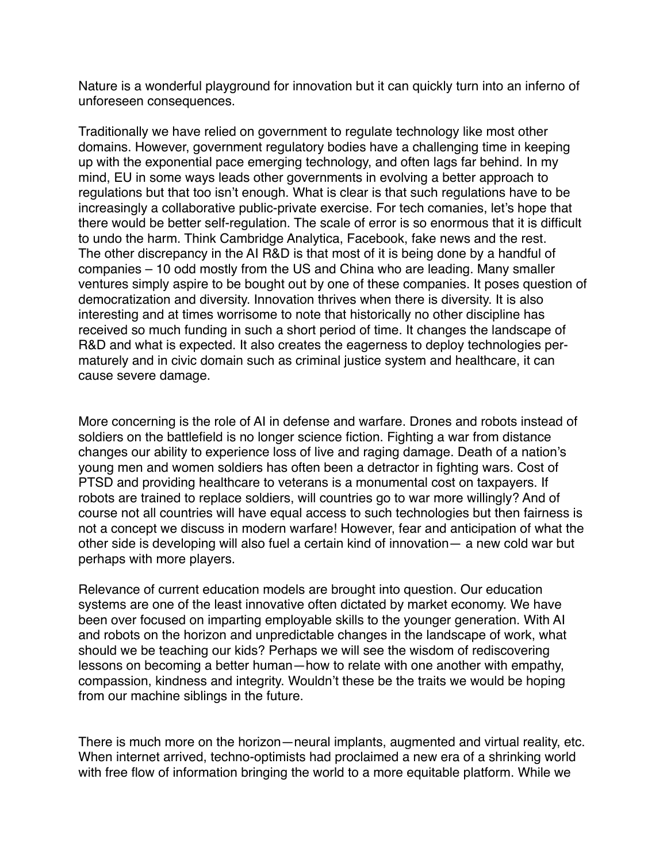Nature is a wonderful playground for innovation but it can quickly turn into an inferno of unforeseen consequences.

Traditionally we have relied on government to regulate technology like most other domains. However, government regulatory bodies have a challenging time in keeping up with the exponential pace emerging technology, and often lags far behind. In my mind, EU in some ways leads other governments in evolving a better approach to regulations but that too isn't enough. What is clear is that such regulations have to be increasingly a collaborative public-private exercise. For tech comanies, let's hope that there would be better self-regulation. The scale of error is so enormous that it is difficult to undo the harm. Think Cambridge Analytica, Facebook, fake news and the rest. The other discrepancy in the AI R&D is that most of it is being done by a handful of companies – 10 odd mostly from the US and China who are leading. Many smaller ventures simply aspire to be bought out by one of these companies. It poses question of democratization and diversity. Innovation thrives when there is diversity. It is also interesting and at times worrisome to note that historically no other discipline has received so much funding in such a short period of time. It changes the landscape of R&D and what is expected. It also creates the eagerness to deploy technologies permaturely and in civic domain such as criminal justice system and healthcare, it can cause severe damage.

More concerning is the role of AI in defense and warfare. Drones and robots instead of soldiers on the battlefield is no longer science fiction. Fighting a war from distance changes our ability to experience loss of live and raging damage. Death of a nation's young men and women soldiers has often been a detractor in fighting wars. Cost of PTSD and providing healthcare to veterans is a monumental cost on taxpayers. If robots are trained to replace soldiers, will countries go to war more willingly? And of course not all countries will have equal access to such technologies but then fairness is not a concept we discuss in modern warfare! However, fear and anticipation of what the other side is developing will also fuel a certain kind of innovation— a new cold war but perhaps with more players.

Relevance of current education models are brought into question. Our education systems are one of the least innovative often dictated by market economy. We have been over focused on imparting employable skills to the younger generation. With AI and robots on the horizon and unpredictable changes in the landscape of work, what should we be teaching our kids? Perhaps we will see the wisdom of rediscovering lessons on becoming a better human—how to relate with one another with empathy, compassion, kindness and integrity. Wouldn't these be the traits we would be hoping from our machine siblings in the future.

There is much more on the horizon—neural implants, augmented and virtual reality, etc. When internet arrived, techno-optimists had proclaimed a new era of a shrinking world with free flow of information bringing the world to a more equitable platform. While we